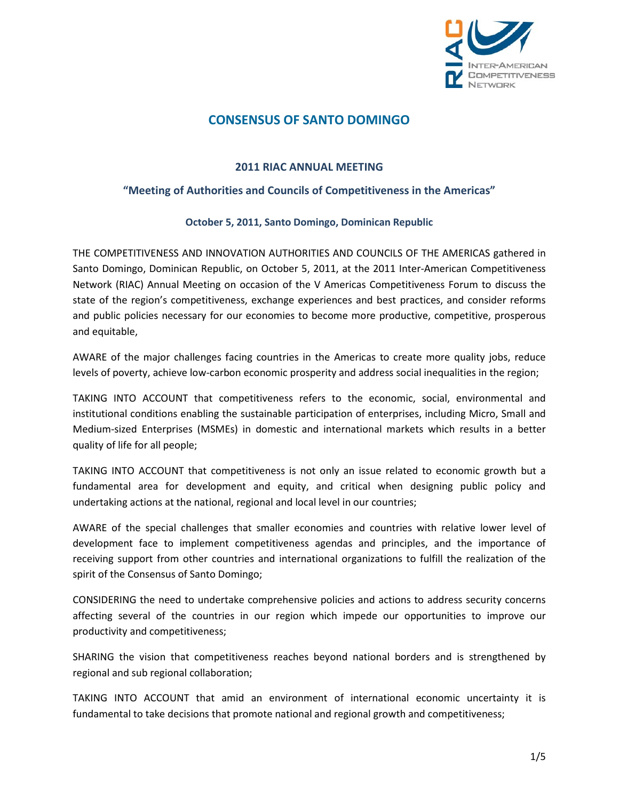

# **CONSENSUS OF SANTO DOMINGO**

### **2011 RIAC ANNUAL MEETING**

### **"Meeting of Authorities and Councils of Competitiveness in the Americas"**

#### **October 5, 2011, Santo Domingo, Dominican Republic**

THE COMPETITIVENESS AND INNOVATION AUTHORITIES AND COUNCILS OF THE AMERICAS gathered in Santo Domingo, Dominican Republic, on October 5, 2011, at the 2011 Inter-American Competitiveness Network (RIAC) Annual Meeting on occasion of the V Americas Competitiveness Forum to discuss the state of the region's competitiveness, exchange experiences and best practices, and consider reforms and public policies necessary for our economies to become more productive, competitive, prosperous and equitable,

AWARE of the major challenges facing countries in the Americas to create more quality jobs, reduce levels of poverty, achieve low-carbon economic prosperity and address social inequalities in the region;

TAKING INTO ACCOUNT that competitiveness refers to the economic, social, environmental and institutional conditions enabling the sustainable participation of enterprises, including Micro, Small and Medium-sized Enterprises (MSMEs) in domestic and international markets which results in a better quality of life for all people;

TAKING INTO ACCOUNT that competitiveness is not only an issue related to economic growth but a fundamental area for development and equity, and critical when designing public policy and undertaking actions at the national, regional and local level in our countries;

AWARE of the special challenges that smaller economies and countries with relative lower level of development face to implement competitiveness agendas and principles, and the importance of receiving support from other countries and international organizations to fulfill the realization of the spirit of the Consensus of Santo Domingo;

CONSIDERING the need to undertake comprehensive policies and actions to address security concerns affecting several of the countries in our region which impede our opportunities to improve our productivity and competitiveness;

SHARING the vision that competitiveness reaches beyond national borders and is strengthened by regional and sub regional collaboration;

TAKING INTO ACCOUNT that amid an environment of international economic uncertainty it is fundamental to take decisions that promote national and regional growth and competitiveness;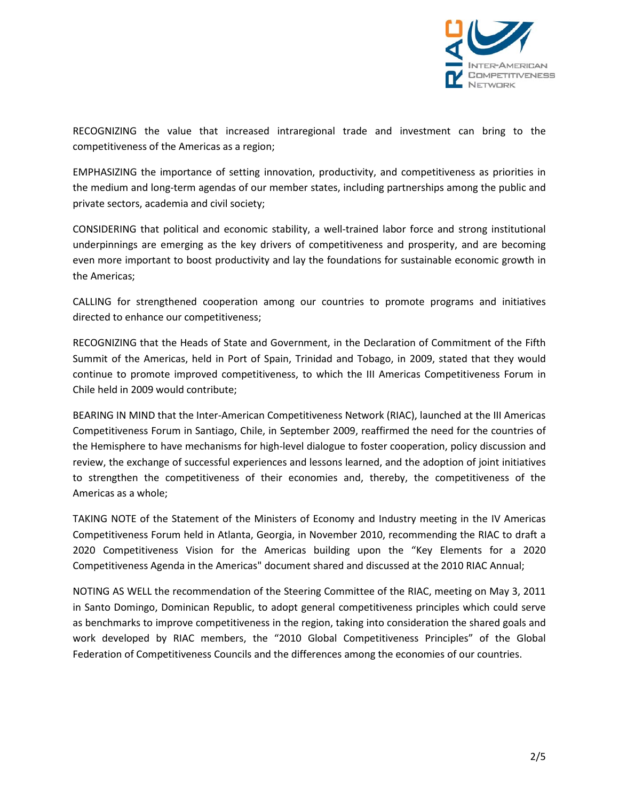

RECOGNIZING the value that increased intraregional trade and investment can bring to the competitiveness of the Americas as a region;

EMPHASIZING the importance of setting innovation, productivity, and competitiveness as priorities in the medium and long-term agendas of our member states, including partnerships among the public and private sectors, academia and civil society;

CONSIDERING that political and economic stability, a well-trained labor force and strong institutional underpinnings are emerging as the key drivers of competitiveness and prosperity, and are becoming even more important to boost productivity and lay the foundations for sustainable economic growth in the Americas;

CALLING for strengthened cooperation among our countries to promote programs and initiatives directed to enhance our competitiveness;

RECOGNIZING that the Heads of State and Government, in the Declaration of Commitment of the Fifth Summit of the Americas, held in Port of Spain, Trinidad and Tobago, in 2009, stated that they would continue to promote improved competitiveness, to which the III Americas Competitiveness Forum in Chile held in 2009 would contribute;

BEARING IN MIND that the Inter-American Competitiveness Network (RIAC), launched at the III Americas Competitiveness Forum in Santiago, Chile, in September 2009, reaffirmed the need for the countries of the Hemisphere to have mechanisms for high-level dialogue to foster cooperation, policy discussion and review, the exchange of successful experiences and lessons learned, and the adoption of joint initiatives to strengthen the competitiveness of their economies and, thereby, the competitiveness of the Americas as a whole;

TAKING NOTE of the Statement of the Ministers of Economy and Industry meeting in the IV Americas Competitiveness Forum held in Atlanta, Georgia, in November 2010, recommending the RIAC to draft a 2020 Competitiveness Vision for the Americas building upon the "Key Elements for a 2020 Competitiveness Agenda in the Americas" document shared and discussed at the 2010 RIAC Annual;

NOTING AS WELL the recommendation of the Steering Committee of the RIAC, meeting on May 3, 2011 in Santo Domingo, Dominican Republic, to adopt general competitiveness principles which could serve as benchmarks to improve competitiveness in the region, taking into consideration the shared goals and work developed by RIAC members, the "2010 Global Competitiveness Principles" of the Global Federation of Competitiveness Councils and the differences among the economies of our countries.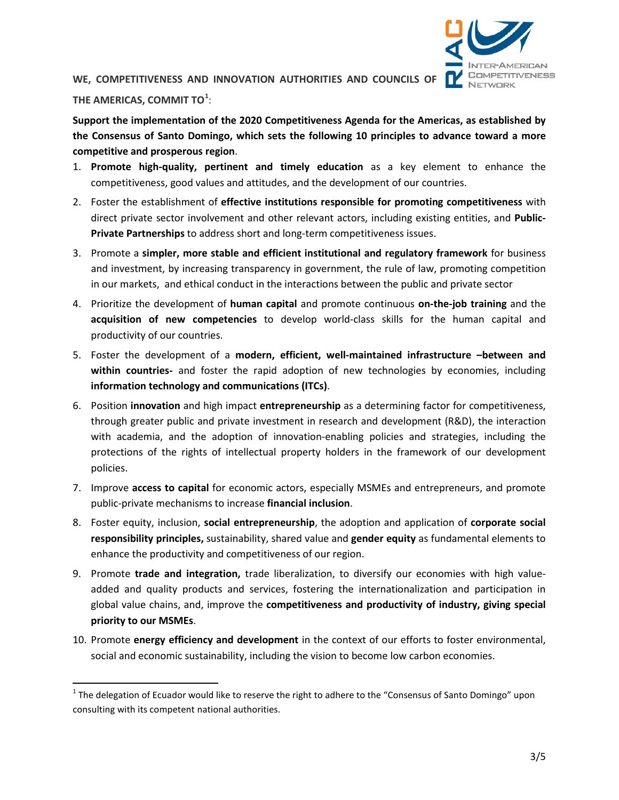

## **WE, COMPETITIVENESS AND INNOVATION AUTHORITIES AND COUNCILS OF**

## **THE AMERICAS, COMMIT TO[1](#page-2-0)** :

**Support the implementation of the 2020 Competitiveness Agenda for the Americas, as established by the Consensus of Santo Domingo, which sets the following 10 principles to advance toward a more competitive and prosperous region**.

- 1. **Promote high-quality, pertinent and timely education** as a key element to enhance the competitiveness, good values and attitudes, and the development of our countries.
- 2. Foster the establishment of **effective institutions responsible for promoting competitiveness** with direct private sector involvement and other relevant actors, including existing entities, and **Public-Private Partnerships** to address short and long-term competitiveness issues.
- 3. Promote a **simpler, more stable and efficient institutional and regulatory framework** for business and investment, by increasing transparency in government, the rule of law, promoting competition in our markets, and ethical conduct in the interactions between the public and private sector
- 4. Prioritize the development of **human capital** and promote continuous **on-the-job training** and the **acquisition of new competencies** to develop world-class skills for the human capital and productivity of our countries.
- 5. Foster the development of a **modern, efficient, well-maintained infrastructure –between and within countries-** and foster the rapid adoption of new technologies by economies, including **information technology and communications (ITCs)**.
- 6. Position **innovation** and high impact **entrepreneurship** as a determining factor for competitiveness, through greater public and private investment in research and development (R&D), the interaction with academia, and the adoption of innovation-enabling policies and strategies, including the protections of the rights of intellectual property holders in the framework of our development policies.
- 7. Improve **access to capital** for economic actors, especially MSMEs and entrepreneurs, and promote public-private mechanisms to increase **financial inclusion**.
- 8. Foster equity, inclusion, **social entrepreneurship**, the adoption and application of **corporate social responsibility principles,** sustainability, shared value and **gender equity** as fundamental elements to enhance the productivity and competitiveness of our region.
- 9. Promote **trade and integration,** trade liberalization, to diversify our economies with high valueadded and quality products and services, fostering the internationalization and participation in global value chains, and, improve the **competitiveness and productivity of industry, giving special priority to our MSMEs**.
- 10. Promote **energy efficiency and development** in the context of our efforts to foster environmental, social and economic sustainability, including the vision to become low carbon economies.

<span id="page-2-0"></span> $1$  The delegation of Ecuador would like to reserve the right to adhere to the "Consensus of Santo Domingo" upon consulting with its competent national authorities.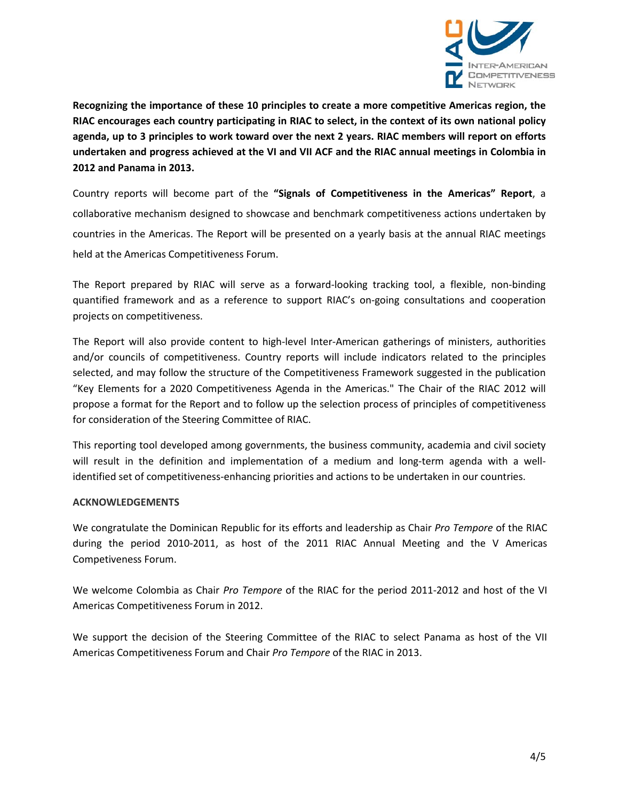

**Recognizing the importance of these 10 principles to create a more competitive Americas region, the RIAC encourages each country participating in RIAC to select, in the context of its own national policy agenda, up to 3 principles to work toward over the next 2 years. RIAC members will report on efforts undertaken and progress achieved at the VI and VII ACF and the RIAC annual meetings in Colombia in 2012 and Panama in 2013.** 

Country reports will become part of the **"Signals of Competitiveness in the Americas" Report**, a collaborative mechanism designed to showcase and benchmark competitiveness actions undertaken by countries in the Americas. The Report will be presented on a yearly basis at the annual RIAC meetings held at the Americas Competitiveness Forum.

The Report prepared by RIAC will serve as a forward-looking tracking tool, a flexible, non-binding quantified framework and as a reference to support RIAC's on-going consultations and cooperation projects on competitiveness.

The Report will also provide content to high-level Inter-American gatherings of ministers, authorities and/or councils of competitiveness. Country reports will include indicators related to the principles selected, and may follow the structure of the Competitiveness Framework suggested in the publication "Key Elements for a 2020 Competitiveness Agenda in the Americas." The Chair of the RIAC 2012 will propose a format for the Report and to follow up the selection process of principles of competitiveness for consideration of the Steering Committee of RIAC.

This reporting tool developed among governments, the business community, academia and civil society will result in the definition and implementation of a medium and long-term agenda with a wellidentified set of competitiveness-enhancing priorities and actions to be undertaken in our countries.

#### **ACKNOWLEDGEMENTS**

We congratulate the Dominican Republic for its efforts and leadership as Chair *Pro Tempore* of the RIAC during the period 2010-2011, as host of the 2011 RIAC Annual Meeting and the V Americas Competiveness Forum.

We welcome Colombia as Chair *Pro Tempore* of the RIAC for the period 2011-2012 and host of the VI Americas Competitiveness Forum in 2012.

We support the decision of the Steering Committee of the RIAC to select Panama as host of the VII Americas Competitiveness Forum and Chair *Pro Tempore* of the RIAC in 2013.